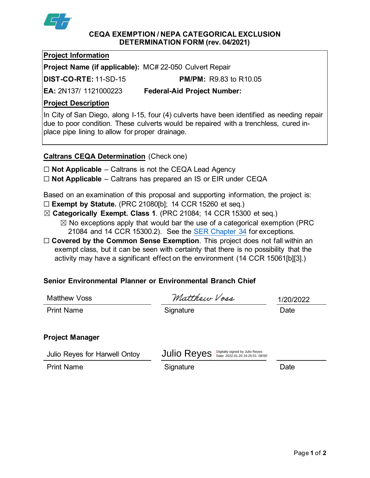

#### **CEQA EXEMPTION / NEPA CATEGORICAL EXCLUSION DETERMINATION FORM (rev. 04/2021)**

### **Project Information**

**Project Name (if applicable):** MC# 22-050 Culvert Repair

**DIST-CO-RTE:** 11-SD-15 **PM/PM:** R9.83 to R10.05

**EA:** 2N137/ 1121000223 **Federal-Aid Project Number:**

# **Project Description**

In City of San Diego, along I-15, four (4) culverts have been identified as needing repair due to poor condition. These culverts would be repaired with a trenchless, cured inplace pipe lining to allow for proper drainage.

**Caltrans CEQA Determination** (Check one)

- ☐ **Not Applicable** Caltrans is not the CEQA Lead Agency
- ☐ **Not Applicable** Caltrans has prepared an IS or EIR under CEQA

Based on an examination of this proposal and supporting information, the project is:

- ☐ **Exempt by Statute.** (PRC 21080[b]; 14 CCR 15260 et seq.)
- ☒ **Categorically Exempt. Class 1**. (PRC 21084; 14 CCR 15300 et seq.)
	- $\boxtimes$  No exceptions apply that would bar the use of a categorical exemption (PRC) 21084 and 14 CCR 15300.2). See the [SER Chapter 34](https://dot.ca.gov/programs/environmental-analysis/standard-environmental-reference-ser/volume-1-guidance-for-compliance/ch-34-exemptions-to-ceqa#except) for exceptions.
- □ **Covered by the Common Sense Exemption**. This project does not fall within an exempt class, but it can be seen with certainty that there is no possibility that the activity may have a significant effect on the environment (14 CCR 15061[b][3].)

# **Senior Environmental Planner or Environmental Branch Chief**

| Matthew Voss                  | Matthew Voss                                         | 1/20/2022 |
|-------------------------------|------------------------------------------------------|-----------|
| <b>Print Name</b>             | Signature                                            | Date      |
|                               |                                                      |           |
| <b>Project Manager</b>        |                                                      |           |
| Julio Reves for Hanvell Ontoy | <b>IIII</b> IO RAVAS Digitally signed by Julio Reyes |           |

Julio Reyes for Harwell Ontoy Print Name **Signature Contract State** Signature **Contract State** Date  $\mathsf{Julio}\ \mathsf{Reyes}_{\mathsf{Date:}\ 2022.01.20}$  16:25:51 -08'00'